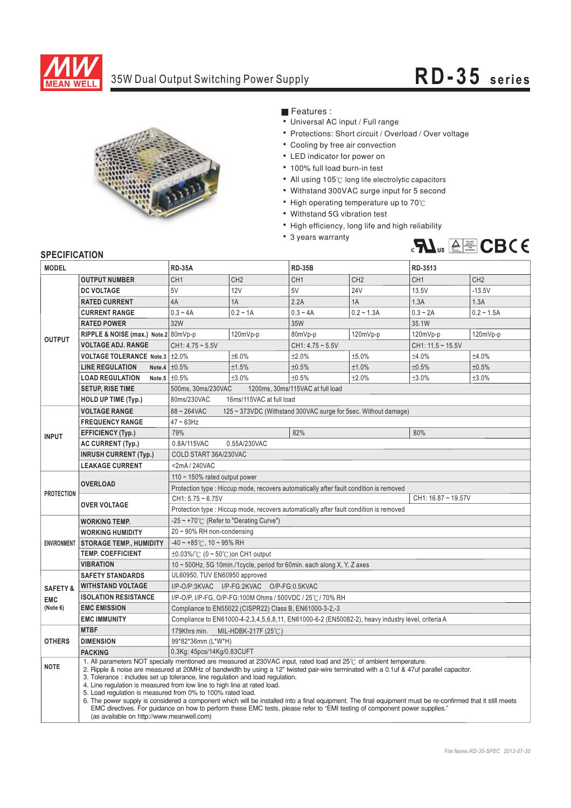

## 35W Dual Output Switching Power Supply **RD-3 5 s eries**



■ Features :

- Universal AC input / Full range
- Protections: Short circuit / Overload / Over voltage
- Cooling by free air convection
- LED indicator for power on
- 100% full load burn-in test
- ¡E¡E¡E¡E¡E¡E¡E¡E¡E¡E¡E All using  $105^\circ$ C long life electrolytic capacitors
- Withstand 300VAC surge input for 5 second
- High operating temperature up to  $70^{\circ}$ C
- Withstand 5G vibration test
- High efficiency, long life and high reliability
- 3 years warranty



## **SPECIFICATION**

| <b>MODEL</b>        |                                                                                                                                                                                                                                                                                                                                                                                                                                                                                                                                                                                                                                                                                                                                                                                                                                      | <b>RD-35A</b>                                                                                     |                 | <b>RD-35B</b>      |                 | RD-3513         |                 |
|---------------------|--------------------------------------------------------------------------------------------------------------------------------------------------------------------------------------------------------------------------------------------------------------------------------------------------------------------------------------------------------------------------------------------------------------------------------------------------------------------------------------------------------------------------------------------------------------------------------------------------------------------------------------------------------------------------------------------------------------------------------------------------------------------------------------------------------------------------------------|---------------------------------------------------------------------------------------------------|-----------------|--------------------|-----------------|-----------------|-----------------|
|                     | <b>OUTPUT NUMBER</b>                                                                                                                                                                                                                                                                                                                                                                                                                                                                                                                                                                                                                                                                                                                                                                                                                 | CH <sub>1</sub>                                                                                   | CH <sub>2</sub> | CH <sub>1</sub>    | CH <sub>2</sub> | CH <sub>1</sub> | CH <sub>2</sub> |
| <b>OUTPUT</b>       | <b>DC VOLTAGE</b>                                                                                                                                                                                                                                                                                                                                                                                                                                                                                                                                                                                                                                                                                                                                                                                                                    | 5V                                                                                                | 12V             | 5V                 | <b>24V</b>      | 13.5V           | $-13.5V$        |
|                     | <b>RATED CURRENT</b>                                                                                                                                                                                                                                                                                                                                                                                                                                                                                                                                                                                                                                                                                                                                                                                                                 | 4A                                                                                                | 1A              | 2.2A               | 1A              | 1.3A            | 1.3A            |
|                     | <b>CURRENT RANGE</b>                                                                                                                                                                                                                                                                                                                                                                                                                                                                                                                                                                                                                                                                                                                                                                                                                 | $0.3 - 4A$                                                                                        | $0.2 - 1A$      | $0.3 - 4A$         | $0.2 - 1.3A$    | $0.3 - 2A$      | $0.2 - 1.5A$    |
|                     | <b>RATED POWER</b>                                                                                                                                                                                                                                                                                                                                                                                                                                                                                                                                                                                                                                                                                                                                                                                                                   | 32W                                                                                               |                 | 35W                |                 | 35.1W           |                 |
|                     | RIPPLE & NOISE (max.) Note.2 80mVp-p                                                                                                                                                                                                                                                                                                                                                                                                                                                                                                                                                                                                                                                                                                                                                                                                 |                                                                                                   | 120mVp-p        | 80mVp-p            | 120mVp-p        | 120mVp-p        | 120mVp-p        |
|                     | <b>VOLTAGE ADJ. RANGE</b>                                                                                                                                                                                                                                                                                                                                                                                                                                                                                                                                                                                                                                                                                                                                                                                                            | $CH1: 4.75 - 5.5V$                                                                                |                 | $CH1: 4.75 - 5.5V$ |                 | CH1: 11.5~15.5V |                 |
|                     | VOLTAGE TOLERANCE Note.3 ±2.0%                                                                                                                                                                                                                                                                                                                                                                                                                                                                                                                                                                                                                                                                                                                                                                                                       |                                                                                                   | ±6.0%           | ±2.0%              | ±5.0%           | ±4.0%           | ±4.0%           |
|                     | <b>LINE REGULATION</b><br>Note.4                                                                                                                                                                                                                                                                                                                                                                                                                                                                                                                                                                                                                                                                                                                                                                                                     | $\pm 0.5\%$                                                                                       | ±1.5%           | ±0.5%              | ±1.0%           | ±0.5%           | ±0.5%           |
|                     | <b>LOAD REGULATION</b>                                                                                                                                                                                                                                                                                                                                                                                                                                                                                                                                                                                                                                                                                                                                                                                                               | Note.5 $\pm 0.5\%$                                                                                | ±3.0%           | ±0.5%              | ±2.0%           | ±3.0%           | ±3.0%           |
|                     | <b>SETUP, RISE TIME</b>                                                                                                                                                                                                                                                                                                                                                                                                                                                                                                                                                                                                                                                                                                                                                                                                              | 500ms, 30ms/230VAC<br>1200ms, 30ms/115VAC at full load                                            |                 |                    |                 |                 |                 |
|                     | <b>HOLD UP TIME (Typ.)</b>                                                                                                                                                                                                                                                                                                                                                                                                                                                                                                                                                                                                                                                                                                                                                                                                           | 80ms/230VAC<br>16ms/115VAC at full load                                                           |                 |                    |                 |                 |                 |
| <b>INPUT</b>        | <b>VOLTAGE RANGE</b>                                                                                                                                                                                                                                                                                                                                                                                                                                                                                                                                                                                                                                                                                                                                                                                                                 | $88 - 264$ VAC<br>125 ~ 373VDC (Withstand 300VAC surge for 5sec. Without damage)                  |                 |                    |                 |                 |                 |
|                     | <b>FREQUENCY RANGE</b>                                                                                                                                                                                                                                                                                                                                                                                                                                                                                                                                                                                                                                                                                                                                                                                                               | $47 \sim 63$ Hz                                                                                   |                 |                    |                 |                 |                 |
|                     | <b>EFFICIENCY (Typ.)</b>                                                                                                                                                                                                                                                                                                                                                                                                                                                                                                                                                                                                                                                                                                                                                                                                             | 79%                                                                                               |                 | 82%                |                 | 80%             |                 |
|                     | <b>AC CURRENT (Typ.)</b>                                                                                                                                                                                                                                                                                                                                                                                                                                                                                                                                                                                                                                                                                                                                                                                                             | 0.8A/115VAC<br>0.55A/230VAC                                                                       |                 |                    |                 |                 |                 |
|                     | <b>INRUSH CURRENT (Typ.)</b>                                                                                                                                                                                                                                                                                                                                                                                                                                                                                                                                                                                                                                                                                                                                                                                                         | COLD START 36A/230VAC                                                                             |                 |                    |                 |                 |                 |
|                     | <b>LEAKAGE CURRENT</b>                                                                                                                                                                                                                                                                                                                                                                                                                                                                                                                                                                                                                                                                                                                                                                                                               | <2mA/240VAC                                                                                       |                 |                    |                 |                 |                 |
| <b>PROTECTION</b>   | <b>OVERLOAD</b>                                                                                                                                                                                                                                                                                                                                                                                                                                                                                                                                                                                                                                                                                                                                                                                                                      | 110 $\sim$ 150% rated output power                                                                |                 |                    |                 |                 |                 |
|                     |                                                                                                                                                                                                                                                                                                                                                                                                                                                                                                                                                                                                                                                                                                                                                                                                                                      | Protection type : Hiccup mode, recovers automatically after fault condition is removed            |                 |                    |                 |                 |                 |
|                     | <b>OVER VOLTAGE</b>                                                                                                                                                                                                                                                                                                                                                                                                                                                                                                                                                                                                                                                                                                                                                                                                                  | $CH1: 5.75 - 6.75V$<br>CH1: 16.87 ~ 19.57V                                                        |                 |                    |                 |                 |                 |
|                     |                                                                                                                                                                                                                                                                                                                                                                                                                                                                                                                                                                                                                                                                                                                                                                                                                                      | Protection type : Hiccup mode, recovers automatically after fault condition is removed            |                 |                    |                 |                 |                 |
| <b>ENVIRONMENT</b>  | <b>WORKING TEMP.</b>                                                                                                                                                                                                                                                                                                                                                                                                                                                                                                                                                                                                                                                                                                                                                                                                                 | $-25 \sim +70^{\circ}$ (Refer to "Derating Curve")                                                |                 |                    |                 |                 |                 |
|                     | <b>WORKING HUMIDITY</b>                                                                                                                                                                                                                                                                                                                                                                                                                                                                                                                                                                                                                                                                                                                                                                                                              | $20 \sim 90\%$ RH non-condensing                                                                  |                 |                    |                 |                 |                 |
|                     | <b>STORAGE TEMP., HUMIDITY</b>                                                                                                                                                                                                                                                                                                                                                                                                                                                                                                                                                                                                                                                                                                                                                                                                       | $-40 \sim +85^{\circ}$ C, 10 ~ 95% RH                                                             |                 |                    |                 |                 |                 |
|                     | <b>TEMP. COEFFICIENT</b>                                                                                                                                                                                                                                                                                                                                                                                                                                                                                                                                                                                                                                                                                                                                                                                                             | $\pm 0.03\%$ / $\degree$ (0 ~ 50 $\degree$ C) on CH1 output                                       |                 |                    |                 |                 |                 |
|                     | <b>VIBRATION</b>                                                                                                                                                                                                                                                                                                                                                                                                                                                                                                                                                                                                                                                                                                                                                                                                                     | 10 ~ 500Hz, 5G 10min./1cycle, period for 60min. each along X, Y, Z axes                           |                 |                    |                 |                 |                 |
|                     | <b>SAFETY STANDARDS</b>                                                                                                                                                                                                                                                                                                                                                                                                                                                                                                                                                                                                                                                                                                                                                                                                              | UL60950, TUV EN60950 approved                                                                     |                 |                    |                 |                 |                 |
| <b>SAFETY &amp;</b> | <b>WITHSTAND VOLTAGE</b>                                                                                                                                                                                                                                                                                                                                                                                                                                                                                                                                                                                                                                                                                                                                                                                                             | I/P-O/P:3KVAC I/P-FG:2KVAC O/P-FG:0.5KVAC                                                         |                 |                    |                 |                 |                 |
| <b>EMC</b>          | <b>ISOLATION RESISTANCE</b><br>I/P-O/P, I/P-FG, O/P-FG:100M Ohms / 500VDC / 25°C / 70% RH                                                                                                                                                                                                                                                                                                                                                                                                                                                                                                                                                                                                                                                                                                                                            |                                                                                                   |                 |                    |                 |                 |                 |
| (Note 6)            | <b>EMC EMISSION</b>                                                                                                                                                                                                                                                                                                                                                                                                                                                                                                                                                                                                                                                                                                                                                                                                                  | Compliance to EN55022 (CISPR22) Class B, EN61000-3-2,-3                                           |                 |                    |                 |                 |                 |
|                     | <b>EMC IMMUNITY</b>                                                                                                                                                                                                                                                                                                                                                                                                                                                                                                                                                                                                                                                                                                                                                                                                                  | Compliance to EN61000-4-2,3,4,5,6,8,11, EN61000-6-2 (EN50082-2), heavy industry level, criteria A |                 |                    |                 |                 |                 |
| <b>OTHERS</b>       | <b>MTBF</b>                                                                                                                                                                                                                                                                                                                                                                                                                                                                                                                                                                                                                                                                                                                                                                                                                          | 179Khrs min. MIL-HDBK-217F (25℃)                                                                  |                 |                    |                 |                 |                 |
|                     | <b>DIMENSION</b>                                                                                                                                                                                                                                                                                                                                                                                                                                                                                                                                                                                                                                                                                                                                                                                                                     | 99*82*36mm (L*W*H)                                                                                |                 |                    |                 |                 |                 |
|                     | <b>PACKING</b>                                                                                                                                                                                                                                                                                                                                                                                                                                                                                                                                                                                                                                                                                                                                                                                                                       | 0.3Kg; 45pcs/14Kg/0.83CUFT                                                                        |                 |                    |                 |                 |                 |
| <b>NOTE</b>         | 1. All parameters NOT specially mentioned are measured at 230VAC input, rated load and 25°C of ambient temperature.<br>2. Ripple & noise are measured at 20MHz of bandwidth by using a 12" twisted pair-wire terminated with a 0.1uf & 47uf parallel capacitor.<br>3. Tolerance : includes set up tolerance, line regulation and load regulation.<br>4. Line regulation is measured from low line to high line at rated load.<br>5. Load regulation is measured from 0% to 100% rated load.<br>6. The power supply is considered a component which will be installed into a final equipment. The final equipment must be re-confirmed that it still meets<br>EMC directives. For quidance on how to perform these EMC tests, please refer to "EMI testing of component power supplies."<br>(as available on http://www.meanwell.com) |                                                                                                   |                 |                    |                 |                 |                 |